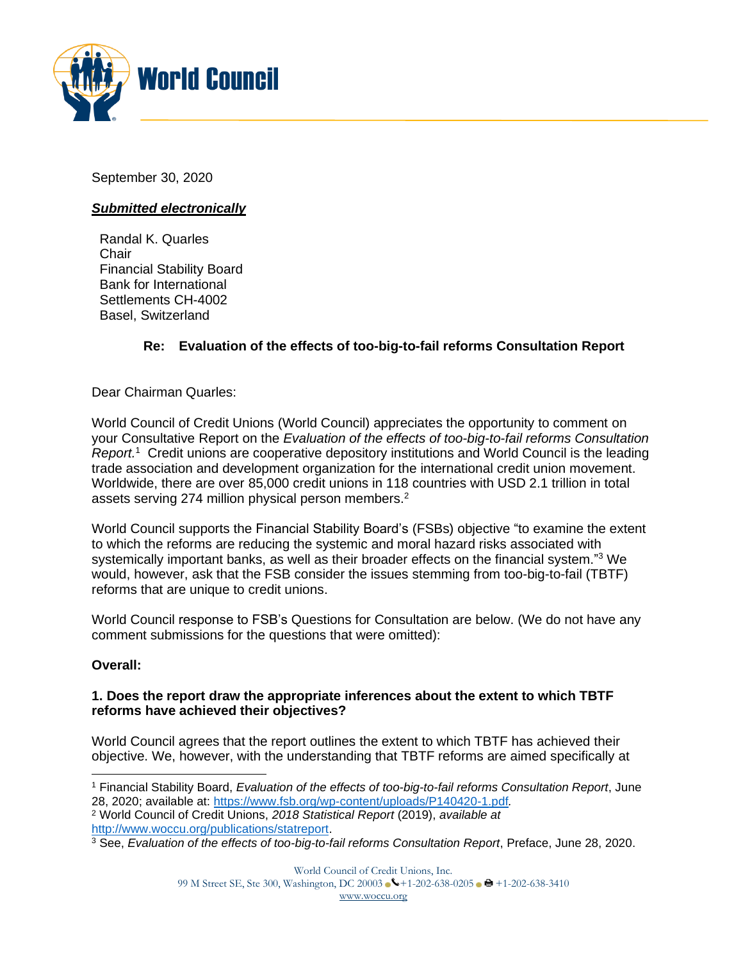

September 30, 2020

# *Submitted electronically*

Randal K. Quarles Chair Financial Stability Board Bank for International Settlements CH-4002 Basel, Switzerland

# **Re: Evaluation of the effects of too-big-to-fail reforms Consultation Report**

Dear Chairman Quarles:

World Council of Credit Unions (World Council) appreciates the opportunity to comment on your Consultative Report on the *Evaluation of the effects of too-big-to-fail reforms Consultation Report.* <sup>1</sup> Credit unions are cooperative depository institutions and World Council is the leading trade association and development organization for the international credit union movement. Worldwide, there are over 85,000 credit unions in 118 countries with USD 2.1 trillion in total assets serving 274 million physical person members. $2$ 

World Council supports the Financial Stability Board's (FSBs) objective "to examine the extent to which the reforms are reducing the systemic and moral hazard risks associated with systemically important banks, as well as their broader effects on the financial system."<sup>3</sup> We would, however, ask that the FSB consider the issues stemming from too-big-to-fail (TBTF) reforms that are unique to credit unions.

World Council response to FSB's Questions for Consultation are below. (We do not have any comment submissions for the questions that were omitted):

### **Overall:**

### **1. Does the report draw the appropriate inferences about the extent to which TBTF reforms have achieved their objectives?**

World Council agrees that the report outlines the extent to which TBTF has achieved their objective. We, however, with the understanding that TBTF reforms are aimed specifically at

<sup>1</sup> Financial Stability Board, *Evaluation of the effects of too-big-to-fail reforms Consultation Report*, June 28, 2020; available at: <https://www.fsb.org/wp-content/uploads/P140420-1.pdf>*.*

<sup>2</sup> World Council of Credit Unions, *2018 Statistical Report* (2019), *available at* [http://www.woccu.org/publications/statreport.](http://www.woccu.org/publications/statreport)

<sup>3</sup> See, *Evaluation of the effects of too-big-to-fail reforms Consultation Report*, Preface, June 28, 2020.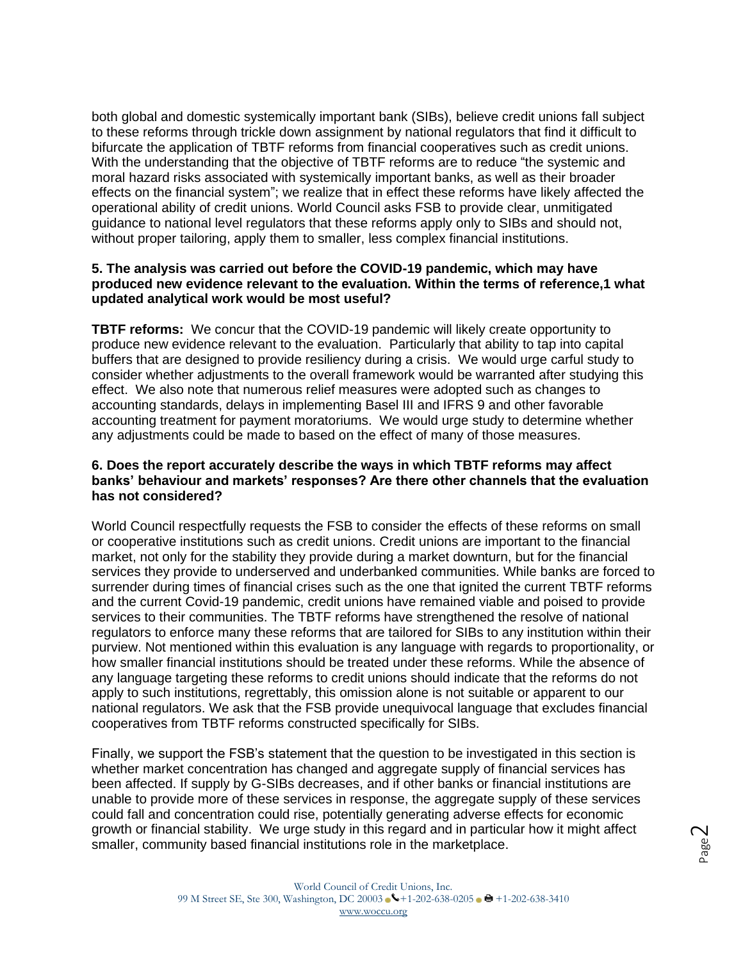both global and domestic systemically important bank (SIBs), believe credit unions fall subject to these reforms through trickle down assignment by national regulators that find it difficult to bifurcate the application of TBTF reforms from financial cooperatives such as credit unions. With the understanding that the objective of TBTF reforms are to reduce "the systemic and moral hazard risks associated with systemically important banks, as well as their broader effects on the financial system"; we realize that in effect these reforms have likely affected the operational ability of credit unions. World Council asks FSB to provide clear, unmitigated guidance to national level regulators that these reforms apply only to SIBs and should not, without proper tailoring, apply them to smaller, less complex financial institutions.

#### **5. The analysis was carried out before the COVID-19 pandemic, which may have produced new evidence relevant to the evaluation. Within the terms of reference,1 what updated analytical work would be most useful?**

**TBTF reforms:** We concur that the COVID-19 pandemic will likely create opportunity to produce new evidence relevant to the evaluation. Particularly that ability to tap into capital buffers that are designed to provide resiliency during a crisis. We would urge carful study to consider whether adjustments to the overall framework would be warranted after studying this effect. We also note that numerous relief measures were adopted such as changes to accounting standards, delays in implementing Basel III and IFRS 9 and other favorable accounting treatment for payment moratoriums. We would urge study to determine whether any adjustments could be made to based on the effect of many of those measures.

#### **6. Does the report accurately describe the ways in which TBTF reforms may affect banks' behaviour and markets' responses? Are there other channels that the evaluation has not considered?**

World Council respectfully requests the FSB to consider the effects of these reforms on small or cooperative institutions such as credit unions. Credit unions are important to the financial market, not only for the stability they provide during a market downturn, but for the financial services they provide to underserved and underbanked communities. While banks are forced to surrender during times of financial crises such as the one that ignited the current TBTF reforms and the current Covid-19 pandemic, credit unions have remained viable and poised to provide services to their communities. The TBTF reforms have strengthened the resolve of national regulators to enforce many these reforms that are tailored for SIBs to any institution within their purview. Not mentioned within this evaluation is any language with regards to proportionality, or how smaller financial institutions should be treated under these reforms. While the absence of any language targeting these reforms to credit unions should indicate that the reforms do not apply to such institutions, regrettably, this omission alone is not suitable or apparent to our national regulators. We ask that the FSB provide unequivocal language that excludes financial cooperatives from TBTF reforms constructed specifically for SIBs.

Finally, we support the FSB's statement that the question to be investigated in this section is whether market concentration has changed and aggregate supply of financial services has been affected. If supply by G-SIBs decreases, and if other banks or financial institutions are unable to provide more of these services in response, the aggregate supply of these services could fall and concentration could rise, potentially generating adverse effects for economic growth or financial stability. We urge study in this regard and in particular how it might affect smaller, community based financial institutions role in the marketplace.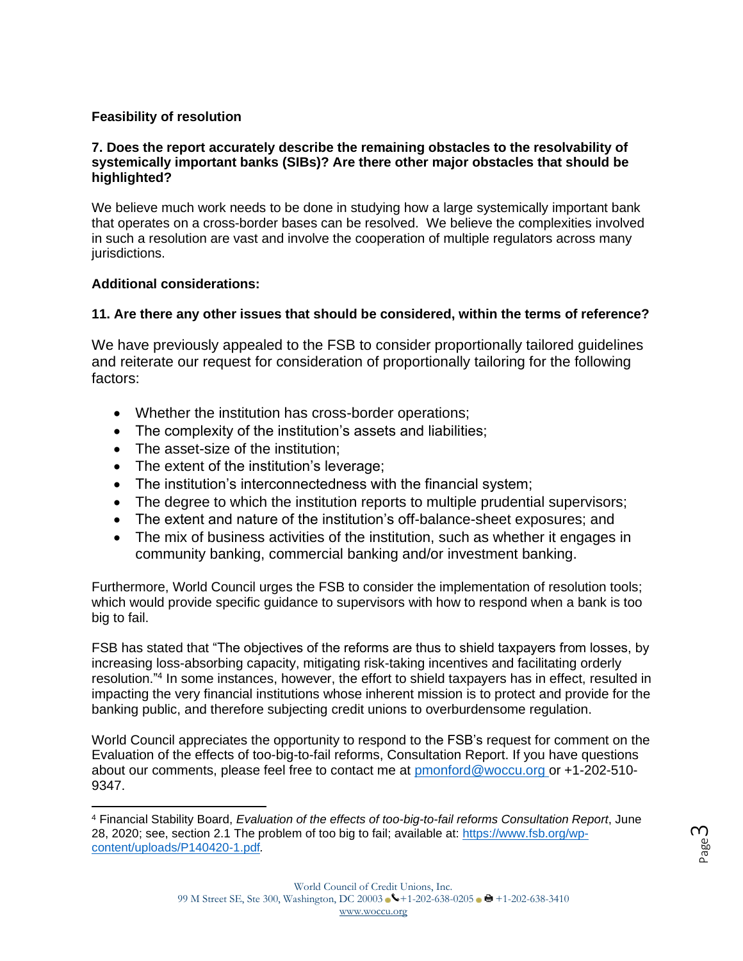# **Feasibility of resolution**

### **7. Does the report accurately describe the remaining obstacles to the resolvability of systemically important banks (SIBs)? Are there other major obstacles that should be highlighted?**

We believe much work needs to be done in studying how a large systemically important bank that operates on a cross-border bases can be resolved. We believe the complexities involved in such a resolution are vast and involve the cooperation of multiple regulators across many jurisdictions.

### **Additional considerations:**

# **11. Are there any other issues that should be considered, within the terms of reference?**

We have previously appealed to the FSB to consider proportionally tailored guidelines and reiterate our request for consideration of proportionally tailoring for the following factors:

- Whether the institution has cross-border operations;
- The complexity of the institution's assets and liabilities;
- The asset-size of the institution:
- The extent of the institution's leverage;
- The institution's interconnectedness with the financial system;
- The degree to which the institution reports to multiple prudential supervisors;
- The extent and nature of the institution's off-balance-sheet exposures; and
- The mix of business activities of the institution, such as whether it engages in community banking, commercial banking and/or investment banking.

Furthermore, World Council urges the FSB to consider the implementation of resolution tools; which would provide specific guidance to supervisors with how to respond when a bank is too big to fail.

FSB has stated that "The objectives of the reforms are thus to shield taxpayers from losses, by increasing loss-absorbing capacity, mitigating risk-taking incentives and facilitating orderly resolution."<sup>4</sup> In some instances, however, the effort to shield taxpayers has in effect, resulted in impacting the very financial institutions whose inherent mission is to protect and provide for the banking public, and therefore subjecting credit unions to overburdensome regulation.

World Council appreciates the opportunity to respond to the FSB's request for comment on the Evaluation of the effects of too-big-to-fail reforms, Consultation Report. If you have questions about our comments, please feel free to contact me at [pmonford@woccu.org o](mailto:pmonford@woccu.org)r +1-202-510- 9347.

<sup>4</sup> Financial Stability Board, *Evaluation of the effects of too-big-to-fail reforms Consultation Report*, June 28, 2020; see, section 2.1 The problem of too big to fail; available at: [https://www.fsb.org/wp](https://www.fsb.org/wp-content/uploads/P140420-1.pdf)[content/uploads/P140420-1.pdf](https://www.fsb.org/wp-content/uploads/P140420-1.pdf)*.*